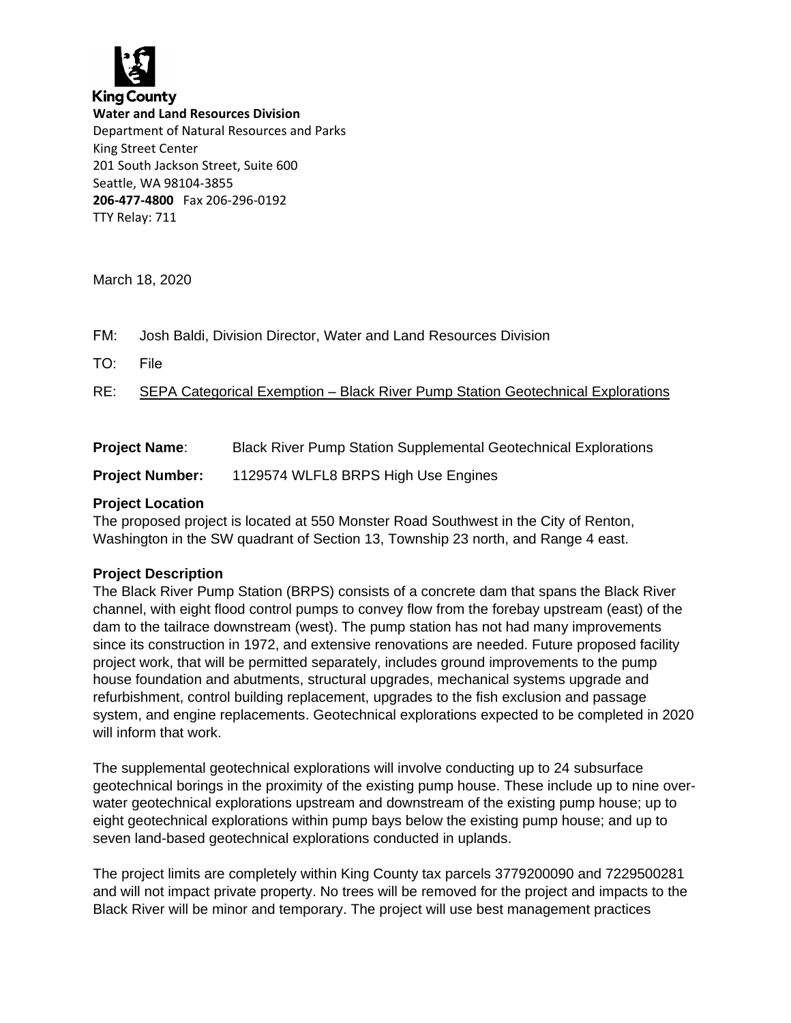

**King County Water and Land Resources Division** Department of Natural Resources and Parks King Street Center 201 South Jackson Street, Suite 600 Seattle, WA 98104-3855 **206-477-4800** Fax 206-296-0192 TTY Relay: 711

March 18, 2020

| FM: | Josh Baldi, Division Director, Water and Land Resources Division                    |
|-----|-------------------------------------------------------------------------------------|
| TO: | – File                                                                              |
|     | RE: SEPA Categorical Exemption – Black River Pump Station Geotechnical Explorations |

| <b>Project Name:</b> |  |  | <b>Black River Pump Station Supplemental Geotechnical Explorations</b> |
|----------------------|--|--|------------------------------------------------------------------------|
|----------------------|--|--|------------------------------------------------------------------------|

**Project Number:** 1129574 WLFL8 BRPS High Use Engines

## **Project Location**

The proposed project is located at 550 Monster Road Southwest in the City of Renton, Washington in the SW quadrant of Section 13, Township 23 north, and Range 4 east.

## **Project Description**

The Black River Pump Station (BRPS) consists of a concrete dam that spans the Black River channel, with eight flood control pumps to convey flow from the forebay upstream (east) of the dam to the tailrace downstream (west). The pump station has not had many improvements since its construction in 1972, and extensive renovations are needed. Future proposed facility project work, that will be permitted separately, includes ground improvements to the pump house foundation and abutments, structural upgrades, mechanical systems upgrade and refurbishment, control building replacement, upgrades to the fish exclusion and passage system, and engine replacements. Geotechnical explorations expected to be completed in 2020 will inform that work.

The supplemental geotechnical explorations will involve conducting up to 24 subsurface geotechnical borings in the proximity of the existing pump house. These include up to nine overwater geotechnical explorations upstream and downstream of the existing pump house; up to eight geotechnical explorations within pump bays below the existing pump house; and up to seven land-based geotechnical explorations conducted in uplands.

The project limits are completely within King County tax parcels 3779200090 and 7229500281 and will not impact private property. No trees will be removed for the project and impacts to the Black River will be minor and temporary. The project will use best management practices